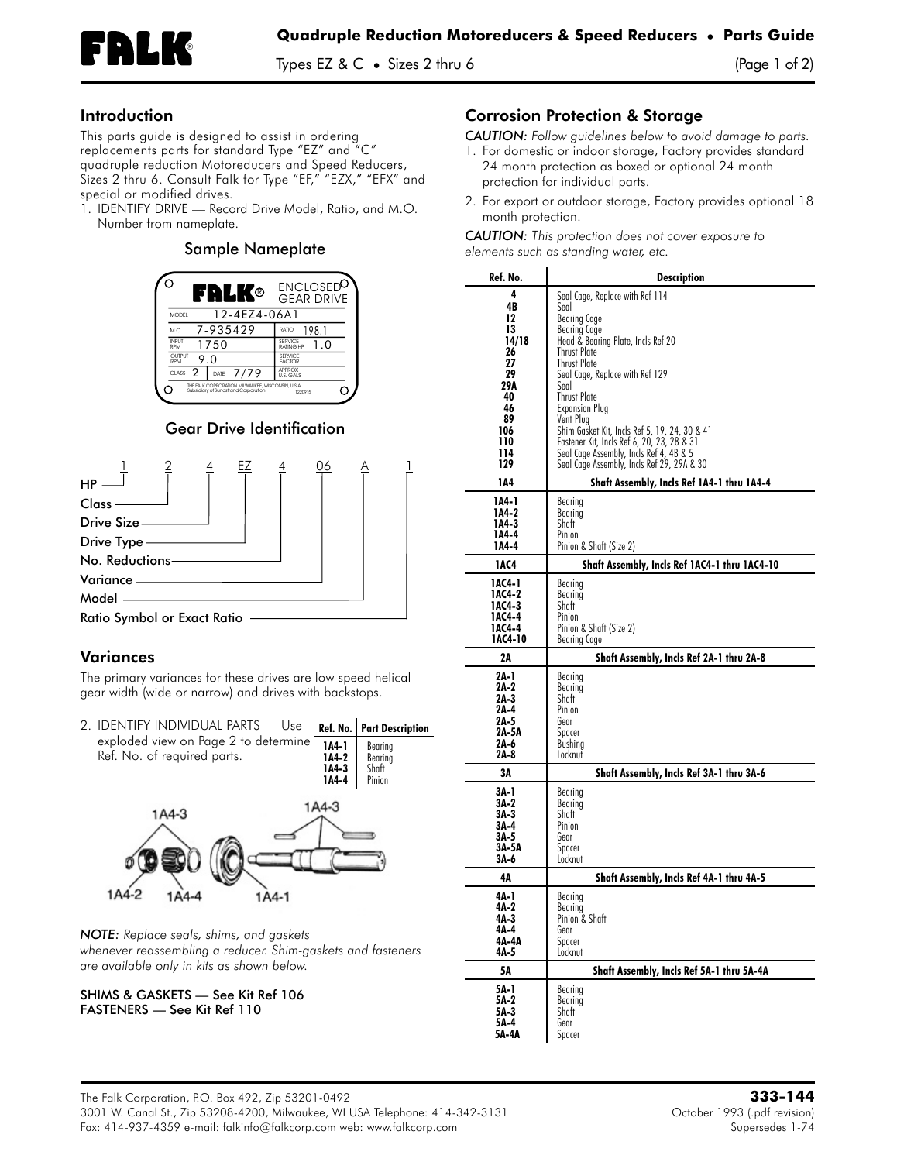

### Introduction

This parts guide is designed to assist in ordering replacements parts for standard Type "EZ" and "C" quadruple reduction Motoreducers and Speed Reducers, Sizes 2 thru 6. Consult Falk for Type "EF," "EZX," "EFX" and special or modified drives.

1. **IDENTIFY DRIVE —** Record Drive Model, Ratio, and M.O. Number from nameplate.

#### Sample Nameplate



# Gear Drive Identification



# Variances

The primary variances for these drives are low speed helical gear width (wide or narrow) and drives with backstops.

| 2. IDENTIFY INDIVIDUAL PARTS - Use                                  |                                    | Ref. No.   Part Description           |
|---------------------------------------------------------------------|------------------------------------|---------------------------------------|
| exploded view on Page 2 to determine<br>Ref. No. of required parts. | $144-1$<br>1A4-2<br>1A4-3<br>1A4-4 | Bearina<br>Bearing<br>Shaft<br>Pinion |



*NOTE: Replace seals, shims, and gaskets whenever reassembling a reducer. Shim-gaskets and fasteners are available only in kits as shown below.*

SHIMS & GASKETS — See Kit Ref 106 FASTENERS — See Kit Ref 110

#### Corrosion Protection & Storage

*CAUTION: Follow guidelines below to avoid damage to parts.*

- 1. For domestic or indoor storage, Factory provides standard 24 month protection as boxed or optional 24 month protection for individual parts.
- 2. For export or outdoor storage, Factory provides optional 18 month protection.

*CAUTION: This protection does not cover exposure to elements such as standing water, etc.*

| Ref. No.                                                                                     | <b>Description</b>                                                                                                                                                                                                                                                                                                                                                                                            |  |  |
|----------------------------------------------------------------------------------------------|---------------------------------------------------------------------------------------------------------------------------------------------------------------------------------------------------------------------------------------------------------------------------------------------------------------------------------------------------------------------------------------------------------------|--|--|
| 4<br>4B<br>12<br>13<br>14/18<br>26<br>27<br>29<br>29A<br>40<br>46<br>89<br>106<br>110<br>114 | Seal Cage, Replace with Ref 114<br>Seal<br><b>Bearing Cage</b><br>Bearing Cage<br>Head & Bearing Plate, Incls Ref 20<br>Thrust Plate<br><b>Thrust Plate</b><br>Seal Cage, Replace with Ref 129<br>Seal<br><b>Thrust Plate</b><br><b>Expansion Plug</b><br>Vent Plug<br>Shim Gasket Kit, Incls Ref 5, 19, 24, 30 & 41<br>Fastener Kit, Incls Ref 6, 20, 23, 28 & 31<br>Seal Cage Assembly, Incls Ref 4, 4B & 5 |  |  |
| 129<br>1A4                                                                                   | Seal Cage Assembly, Incls Ref 29, 29A & 30                                                                                                                                                                                                                                                                                                                                                                    |  |  |
| 1A4-1<br>1A4-2<br>1A4-3<br>1A4-4<br>1A4-4                                                    | Shaft Assembly, Incls Ref 1A4-1 thru 1A4-4<br>Bearing<br>Bearing<br>Shaft<br>Pinion<br>Pinion & Shatt (Size 2)                                                                                                                                                                                                                                                                                                |  |  |
| 1AC4                                                                                         | Shaft Assembly, Incls Ref 1AC4-1 thru 1AC4-10                                                                                                                                                                                                                                                                                                                                                                 |  |  |
| 1AC4-1<br>1AC4-2<br>IAC4-3<br>1AC4-4<br>1AC4-4<br>1AC4-10                                    | Bearing<br>Bearing<br>Shaft<br>Pinion<br>Pinion & Shaft (Size 2)<br>Bearing Cage                                                                                                                                                                                                                                                                                                                              |  |  |
| 2Α                                                                                           | Shaft Assembly, Incls Ref 2A-1 thru 2A-8                                                                                                                                                                                                                                                                                                                                                                      |  |  |
| 2A-1<br>2A-2<br>2A-3<br>2A-4<br>2A-5<br>2A-5A<br>2A-6<br>2A-8                                | Bearing<br>Bearing<br>Shatt<br>Pinion<br>Gear<br>Spacer<br>Bushing<br>Locknut                                                                                                                                                                                                                                                                                                                                 |  |  |
| 3Α                                                                                           | Shaft Assembly, Incls Ref 3A-1 thru 3A-6                                                                                                                                                                                                                                                                                                                                                                      |  |  |
| 3A-1<br>3A-2<br>3A-3<br>3A-4<br>3A-5<br>3A-5A<br>3A-6                                        | Bearing<br>Bearing<br>Shaft<br>Pinion<br>Gear<br>Spacer<br>Locknut                                                                                                                                                                                                                                                                                                                                            |  |  |
| 4Α                                                                                           | Shaft Assembly, Incls Ref 4A-1 thru 4A-5                                                                                                                                                                                                                                                                                                                                                                      |  |  |
| 4A-1<br>4A-2<br>4A-3<br>4A-4<br>4A-4A<br>4A-5                                                | Bearing<br>Bearing<br>Pinion & Shaft<br>Gear<br>Spacer<br>Locknut                                                                                                                                                                                                                                                                                                                                             |  |  |
| 5Λ                                                                                           | Shaft Assembly, Incls Ref 5A-1 thru 5A-4A                                                                                                                                                                                                                                                                                                                                                                     |  |  |
| 5A-1<br>5A-2<br>5A-3<br>5A-4<br>5A-4A                                                        | Bearing<br>Bearing<br>Shatt<br>Gear<br>Spacer                                                                                                                                                                                                                                                                                                                                                                 |  |  |